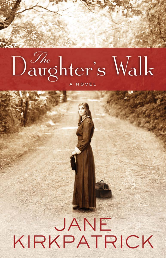## Daughter's Walk

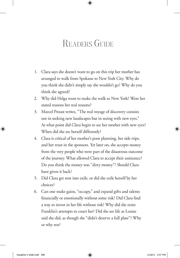## READERS GUIDE

- 1. Clara says she doesn't want to go on this trip her mother has arranged to walk from Spokane to New York City. Why do you think she didn't simply say she wouldn't go? Why do you think she agreed?
- 2. Why did Helga want to make the walk to New York? Were her stated reasons her real reasons?
- 3. Marcel Proust writes, "The real voyage of discovery consists not in seeking new landscapes but in seeing with new eyes." At what point did Clara begin to see her mother with new eyes? When did she see herself differently?
- 4. Clara is critical of her mother's poor planning, her side trips, and her trust in the sponsors. Yet later on, she accepts money from the very people who were part of the disastrous outcome of the journey. What allowed Clara to accept their assistance? Do you think the money was "dirty money"? Should Clara have given it back?
- 5. Did Clara get sent into exile, or did she exile herself by her choices?
- 6. Can one make gains, "occupy," and expand gifts and talents financially or emotionally without some risk? Did Clara find a way to invest in her life without risk? Why did she resist Franklin's attempts to court her? Did she see life as Louise said she did, as though she "didn't deserve a full plate"? Why or why not?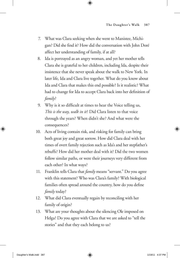- 7. What was Clara seeking when she went to Manistee, Michigan? Did she find it? How did the conversation with John Doré affect her understanding of family, if at all?
- 8. Ida is portrayed as an angry woman, and yet her mother tells Clara she is grateful to her children, including Ida, despite their insistence that she never speak about the walk to New York. In later life, Ida and Clara live together. What do you know about Ida and Clara that makes this end possible? Is it realistic? What had to change for Ida to accept Clara back into her definition of *family*?
- 9. Why is it so difficult at times to hear the Voice telling us, *This is the way, walk in it*? Did Clara listen to that voice through the years? When didn't she? And what were the consequences?
- 10. Acts of living contain risk, and risking for family can bring both great joy and great sorrow. How did Clara deal with her times of overt family rejection such as Ida's and her stepfather's rebuffs? How did her mother deal with it? Did the two women follow similar paths, or were their journeys very different from each other? In what ways?
- 11. Franklin tells Clara that *family* means "servant." Do you agree with this statement? Who was Clara's family? With biological families often spread around the country, how do you define *family* today?
- 12. What did Clara eventually regain by reconciling with her family of origin?
- 13. What are your thoughts about the silencing Ole imposed on Helga? Do you agree with Clara that we are asked to "tell the stories" and that they each belong to us?